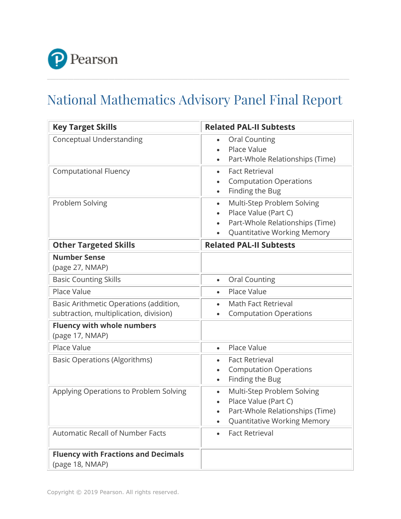

## National Mathematics Advisory Panel Final Report

| <b>Key Target Skills</b>                                                         | <b>Related PAL-II Subtests</b>                                                                                                                        |
|----------------------------------------------------------------------------------|-------------------------------------------------------------------------------------------------------------------------------------------------------|
| <b>Conceptual Understanding</b>                                                  | <b>Oral Counting</b><br>$\bullet$<br>Place Value<br>$\bullet$<br>Part-Whole Relationships (Time)                                                      |
| <b>Computational Fluency</b>                                                     | <b>Fact Retrieval</b><br>$\bullet$<br><b>Computation Operations</b><br>Finding the Bug<br>$\bullet$                                                   |
| Problem Solving                                                                  | Multi-Step Problem Solving<br>$\bullet$<br>Place Value (Part C)<br>$\bullet$<br>Part-Whole Relationships (Time)<br><b>Quantitative Working Memory</b> |
| <b>Other Targeted Skills</b>                                                     | <b>Related PAL-II Subtests</b>                                                                                                                        |
| <b>Number Sense</b><br>(page 27, NMAP)                                           |                                                                                                                                                       |
| <b>Basic Counting Skills</b>                                                     | <b>Oral Counting</b><br>$\bullet$                                                                                                                     |
| Place Value                                                                      | Place Value<br>$\bullet$                                                                                                                              |
| Basic Arithmetic Operations (addition,<br>subtraction, multiplication, division) | Math Fact Retrieval<br>$\bullet$<br><b>Computation Operations</b><br>$\bullet$                                                                        |
| <b>Fluency with whole numbers</b><br>(page 17, NMAP)                             |                                                                                                                                                       |
| Place Value                                                                      | Place Value<br>$\bullet$                                                                                                                              |
| <b>Basic Operations (Algorithms)</b>                                             | <b>Fact Retrieval</b><br><b>Computation Operations</b><br>$\bullet$<br>Finding the Bug<br>$\bullet$                                                   |
| Applying Operations to Problem Solving                                           | Multi-Step Problem Solving<br>$\bullet$<br>Place Value (Part C)<br>Part-Whole Relationships (Time)<br><b>Quantitative Working Memory</b><br>$\bullet$ |
| <b>Automatic Recall of Number Facts</b>                                          | <b>Fact Retrieval</b><br>$\bullet$                                                                                                                    |
| <b>Fluency with Fractions and Decimals</b><br>(page 18, NMAP)                    |                                                                                                                                                       |